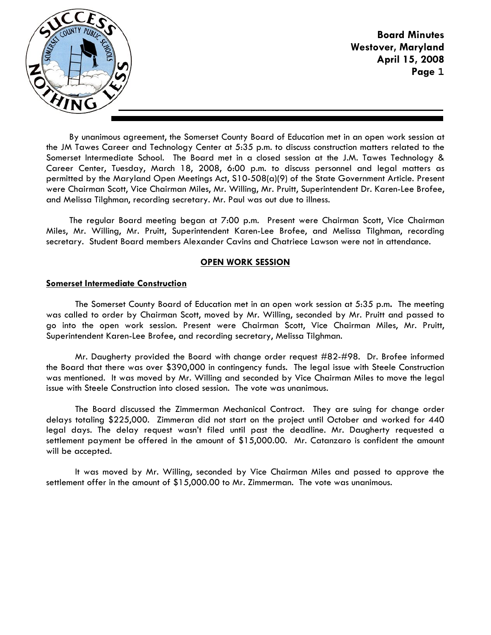

By unanimous agreement, the Somerset County Board of Education met in an open work session at the JM Tawes Career and Technology Center at 5:35 p.m. to discuss construction matters related to the Somerset Intermediate School. The Board met in a closed session at the J.M. Tawes Technology & Career Center, Tuesday, March 18, 2008, 6:00 p.m. to discuss personnel and legal matters as permitted by the Maryland Open Meetings Act, S10-508(a)(9) of the State Government Article. Present were Chairman Scott, Vice Chairman Miles, Mr. Willing, Mr. Pruitt, Superintendent Dr. Karen-Lee Brofee, and Melissa Tilghman, recording secretary. Mr. Paul was out due to illness.

The regular Board meeting began at 7:00 p.m. Present were Chairman Scott, Vice Chairman Miles, Mr. Willing, Mr. Pruitt, Superintendent Karen-Lee Brofee, and Melissa Tilghman, recording secretary. Student Board members Alexander Cavins and Chatriece Lawson were not in attendance.

## **OPEN WORK SESSION**

## **Somerset Intermediate Construction**

 The Somerset County Board of Education met in an open work session at 5:35 p.m**.** The meeting was called to order by Chairman Scott, moved by Mr. Willing, seconded by Mr. Pruitt and passed to go into the open work session. Present were Chairman Scott, Vice Chairman Miles, Mr. Pruitt, Superintendent Karen-Lee Brofee, and recording secretary, Melissa Tilghman.

 Mr. Daugherty provided the Board with change order request #82-#98. Dr. Brofee informed the Board that there was over \$390,000 in contingency funds. The legal issue with Steele Construction was mentioned. It was moved by Mr. Willing and seconded by Vice Chairman Miles to move the legal issue with Steele Construction into closed session. The vote was unanimous.

 The Board discussed the Zimmerman Mechanical Contract. They are suing for change order delays totaling \$225,000. Zimmeran did not start on the project until October and worked for 440 legal days. The delay request wasn't filed until past the deadline. Mr. Daugherty requested a settlement payment be offered in the amount of \$15,000.00. Mr. Catanzaro is confident the amount will be accepted.

 It was moved by Mr. Willing, seconded by Vice Chairman Miles and passed to approve the settlement offer in the amount of \$15,000.00 to Mr. Zimmerman. The vote was unanimous.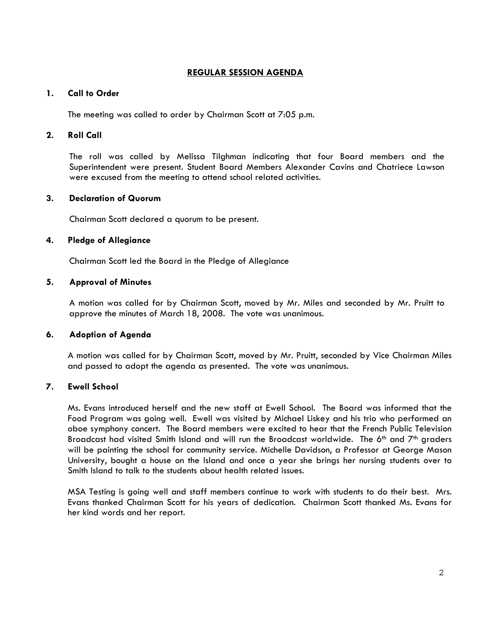# **REGULAR SESSION AGENDA**

## **1. Call to Order**

The meeting was called to order by Chairman Scott at 7:05 p.m.

#### **2. Roll Call**

The roll was called by Melissa Tilghman indicating that four Board members and the Superintendent were present. Student Board Members Alexander Cavins and Chatriece Lawson were excused from the meeting to attend school related activities.

# **3. Declaration of Quorum**

Chairman Scott declared a quorum to be present.

#### **4. Pledge of Allegiance**

Chairman Scott led the Board in the Pledge of Allegiance

## **5. Approval of Minutes**

A motion was called for by Chairman Scott, moved by Mr. Miles and seconded by Mr. Pruitt to approve the minutes of March 18, 2008. The vote was unanimous.

#### **6. Adoption of Agenda**

 A motion was called for by Chairman Scott, moved by Mr. Pruitt, seconded by Vice Chairman Miles and passed to adopt the agenda as presented. The vote was unanimous.

## **7. Ewell School**

Ms. Evans introduced herself and the new staff at Ewell School. The Board was informed that the Food Program was going well. Ewell was visited by Michael Liskey and his trio who performed an oboe symphony concert. The Board members were excited to hear that the French Public Television Broadcast had visited Smith Island and will run the Broadcast worldwide. The 6<sup>th</sup> and  $7<sup>th</sup>$  graders will be painting the school for community service. Michelle Davidson, a Professor at George Mason University, bought a house on the Island and once a year she brings her nursing students over to Smith Island to talk to the students about health related issues.

MSA Testing is going well and staff members continue to work with students to do their best. Mrs. Evans thanked Chairman Scott for his years of dedication. Chairman Scott thanked Ms. Evans for her kind words and her report.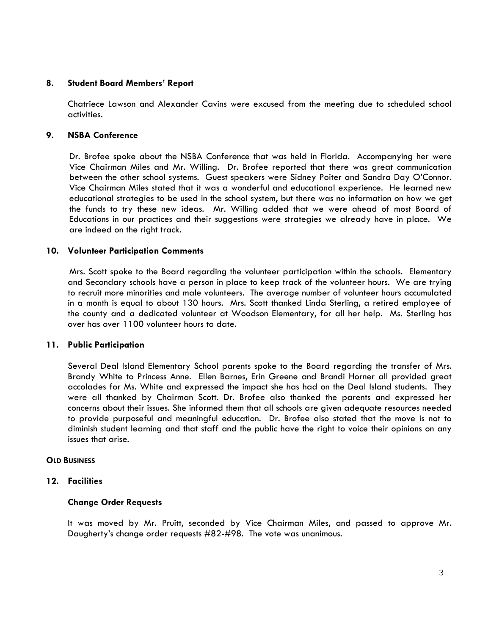## **8. Student Board Members' Report**

Chatriece Lawson and Alexander Cavins were excused from the meeting due to scheduled school activities.

#### **9. NSBA Conference**

 Dr. Brofee spoke about the NSBA Conference that was held in Florida. Accompanying her were Vice Chairman Miles and Mr. Willing. Dr. Brofee reported that there was great communication between the other school systems. Guest speakers were Sidney Poiter and Sandra Day O'Connor. Vice Chairman Miles stated that it was a wonderful and educational experience. He learned new educational strategies to be used in the school system, but there was no information on how we get the funds to try these new ideas. Mr. Willing added that we were ahead of most Board of Educations in our practices and their suggestions were strategies we already have in place. We are indeed on the right track.

#### **10. Volunteer Participation Comments**

 Mrs. Scott spoke to the Board regarding the volunteer participation within the schools. Elementary and Secondary schools have a person in place to keep track of the volunteer hours. We are trying to recruit more minorities and male volunteers. The average number of volunteer hours accumulated in a month is equal to about 130 hours. Mrs. Scott thanked Linda Sterling, a retired employee of the county and a dedicated volunteer at Woodson Elementary, for all her help. Ms. Sterling has over has over 1100 volunteer hours to date.

#### **11. Public Participation**

Several Deal Island Elementary School parents spoke to the Board regarding the transfer of Mrs. Brandy White to Princess Anne. Ellen Barnes, Erin Greene and Brandi Horner all provided great accolades for Ms. White and expressed the impact she has had on the Deal Island students. They were all thanked by Chairman Scott. Dr. Brofee also thanked the parents and expressed her concerns about their issues. She informed them that all schools are given adequate resources needed to provide purposeful and meaningful education. Dr. Brofee also stated that the move is not to diminish student learning and that staff and the public have the right to voice their opinions on any issues that arise.

#### **OLD BUSINESS**

## **12. Facilities**

## **Change Order Requests**

It was moved by Mr. Pruitt, seconded by Vice Chairman Miles, and passed to approve Mr. Daugherty's change order requests #82-#98. The vote was unanimous.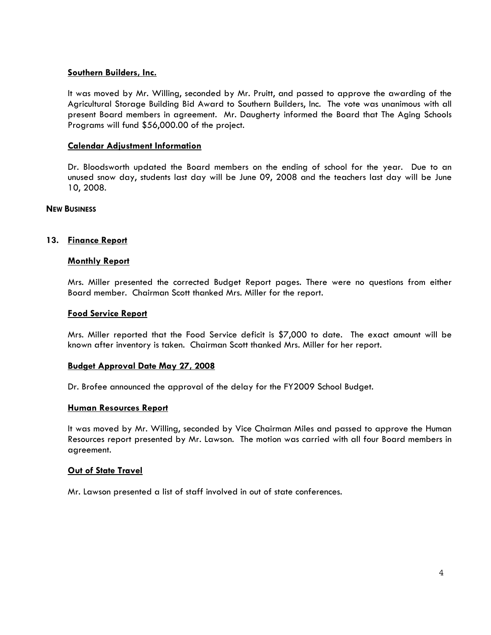## **Southern Builders, Inc.**

 It was moved by Mr. Willing, seconded by Mr. Pruitt, and passed to approve the awarding of the Agricultural Storage Building Bid Award to Southern Builders, Inc. The vote was unanimous with all present Board members in agreement. Mr. Daugherty informed the Board that The Aging Schools Programs will fund \$56,000.00 of the project.

#### **Calendar Adjustment Information**

Dr. Bloodsworth updated the Board members on the ending of school for the year. Due to an unused snow day, students last day will be June 09, 2008 and the teachers last day will be June 10, 2008.

#### **NEW BUSINESS**

#### **13. Finance Report**

#### **Monthly Report**

Mrs. Miller presented the corrected Budget Report pages. There were no questions from either Board member. Chairman Scott thanked Mrs. Miller for the report.

# **Food Service Report**

Mrs. Miller reported that the Food Service deficit is \$7,000 to date. The exact amount will be known after inventory is taken. Chairman Scott thanked Mrs. Miller for her report.

#### **Budget Approval Date May 27, 2008**

Dr. Brofee announced the approval of the delay for the FY2009 School Budget.

#### **Human Resources Report**

It was moved by Mr. Willing, seconded by Vice Chairman Miles and passed to approve the Human Resources report presented by Mr. Lawson. The motion was carried with all four Board members in agreement.

#### **Out of State Travel**

Mr. Lawson presented a list of staff involved in out of state conferences.